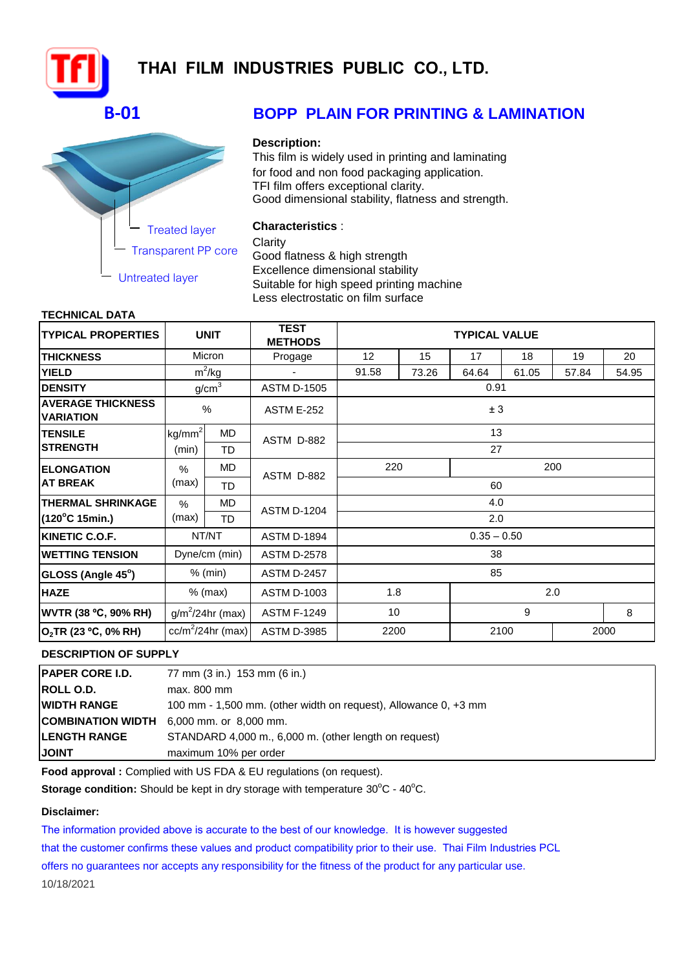

# **THAI FILM INDUSTRIES PUBLIC CO., LTD.**

## **B-01**



# **BOPP PLAIN FOR PRINTING & LAMINATION**

#### **Description:**

This film is widely used in printing and laminating for food and non food packaging application. TFI film offers exceptional clarity. Good dimensional stability, flatness and strength.

### **Characteristics** :

**Clarity** 

Good flatness & high strength Excellence dimensional stability Suitable for high speed printing machine Less electrostatic on film surface

#### **TECHNICAL DATA**

| <b>TYPICAL PROPERTIES</b>                    |                                            | <b>UNIT</b>       | <b>TEST</b><br><b>METHODS</b> | <b>TYPICAL VALUE</b> |            |       |       |       |       |  |
|----------------------------------------------|--------------------------------------------|-------------------|-------------------------------|----------------------|------------|-------|-------|-------|-------|--|
| <b>THICKNESS</b>                             | Micron                                     |                   | Progage                       | 12 <sup>2</sup>      | 15         | 17    | 18    | 19    | 20    |  |
| <b>YIELD</b>                                 |                                            | $m^2$ /kg         |                               | 91.58                | 73.26      | 64.64 | 61.05 | 57.84 | 54.95 |  |
| <b>DENSITY</b>                               |                                            | g/cm <sup>3</sup> | <b>ASTM D-1505</b>            | 0.91                 |            |       |       |       |       |  |
| <b>AVERAGE THICKNESS</b><br><b>VARIATION</b> | %                                          |                   | <b>ASTM E-252</b>             | ± 3                  |            |       |       |       |       |  |
| <b>TENSILE</b>                               | kg/mm <sup>2</sup><br>MD.<br>(min)<br>TD.  |                   | ASTM D-882                    | 13                   |            |       |       |       |       |  |
| <b>STRENGTH</b>                              |                                            |                   |                               | 27                   |            |       |       |       |       |  |
| <b>ELONGATION</b>                            | MD.<br>$\frac{0}{0}$<br>(max)<br><b>TD</b> |                   | ASTM D-882                    | 220                  |            | 200   |       |       |       |  |
| <b>AT BREAK</b>                              |                                            |                   |                               | 60                   |            |       |       |       |       |  |
| <b>THERMAL SHRINKAGE</b>                     | <b>MD</b><br>$\frac{0}{0}$                 |                   | <b>ASTM D-1204</b>            | 4.0                  |            |       |       |       |       |  |
| (120°C 15min.)                               | (max)                                      | <b>TD</b>         |                               | 2.0                  |            |       |       |       |       |  |
| KINETIC C.O.F.                               | NT/NT                                      |                   | <b>ASTM D-1894</b>            | $0.35 - 0.50$        |            |       |       |       |       |  |
| <b>IWETTING TENSION</b>                      |                                            | Dyne/cm (min)     | <b>ASTM D-2578</b>            | 38                   |            |       |       |       |       |  |
| GLOSS (Angle 45°)                            |                                            | $%$ (min)         | <b>ASTM D-2457</b>            | 85                   |            |       |       |       |       |  |
| <b>HAZE</b>                                  | $%$ (max)                                  |                   | <b>ASTM D-1003</b>            |                      | 2.0<br>1.8 |       |       |       |       |  |
| <b>WVTR (38 °C, 90% RH)</b>                  | $g/m^2/24$ hr (max)                        |                   | <b>ASTM F-1249</b>            | 10                   |            | 9     |       |       | 8     |  |
| O <sub>2</sub> TR (23 °C, 0% RH)             | $cc/m^2/24hr$ (max)                        |                   | <b>ASTM D-3985</b>            | 2200                 |            | 2100  |       | 2000  |       |  |

### **DESCRIPTION OF SUPPLY**

| <b> PAPER CORE I.D.</b> | 77 mm (3 in.) 153 mm (6 in.)                                    |
|-------------------------|-----------------------------------------------------------------|
| <b>ROLL O.D.</b>        | max. 800 mm                                                     |
| IWIDTH RANGE            | 100 mm - 1,500 mm. (other width on request), Allowance 0, +3 mm |
|                         | <b>COMBINATION WIDTH</b> 6,000 mm. or 8,000 mm.                 |
| <b>ILENGTH RANGE</b>    | STANDARD 4,000 m., 6,000 m. (other length on request)           |
| <b>JOINT</b>            | maximum 10% per order                                           |

Food approval : Complied with US FDA & EU regulations (on request).

**Storage condition:** Should be kept in dry storage with temperature 30°C - 40°C.

#### **Disclaimer:**

The information provided above is accurate to the best of our knowledge. It is however suggested that the customer confirms these values and product compatibility prior to their use. Thai Film Industries PCL offers no guarantees nor accepts any responsibility for the fitness of the product for any particular use. 10/18/2021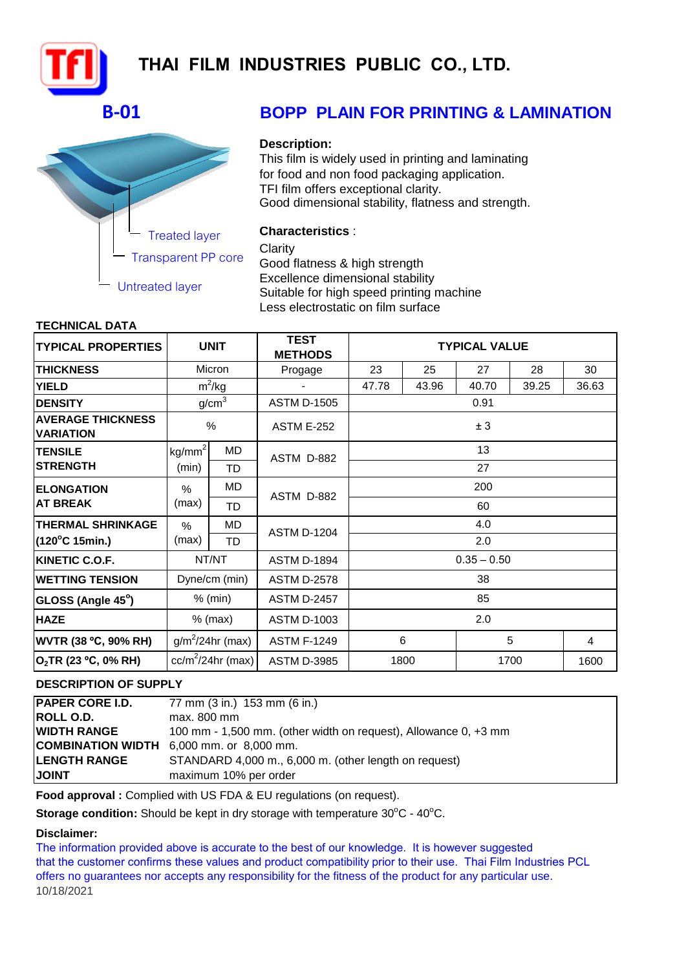

# **THAI FILM INDUSTRIES PUBLIC CO., LTD.**

# **B-01**



# **BOPP PLAIN FOR PRINTING & LAMINATION**

### **Description:**

This film is widely used in printing and laminating for food and non food packaging application. TFI film offers exceptional clarity. Good dimensional stability, flatness and strength.

## **Characteristics** :

**Clarity** 

Good flatness & high strength Excellence dimensional stability Suitable for high speed printing machine Less electrostatic on film surface

### **TECHNICAL DATA**

| <b>TYPICAL PROPERTIES</b>                    | <b>UNIT</b>              |                   | <b>TEST</b><br><b>METHODS</b> | <b>TYPICAL VALUE</b> |       |       |       |       |  |  |
|----------------------------------------------|--------------------------|-------------------|-------------------------------|----------------------|-------|-------|-------|-------|--|--|
| <b>THICKNESS</b>                             | Micron                   |                   | Progage                       | 23                   | 25    | 27    | 28    | 30    |  |  |
| <b>YIELD</b>                                 |                          | $m^2$ /kg         |                               | 47.78                | 43.96 | 40.70 | 39.25 | 36.63 |  |  |
| <b>DENSITY</b>                               |                          | g/cm <sup>3</sup> | <b>ASTM D-1505</b>            | 0.91                 |       |       |       |       |  |  |
| <b>AVERAGE THICKNESS</b><br><b>VARIATION</b> | $\%$                     |                   | <b>ASTM E-252</b>             | ± 3                  |       |       |       |       |  |  |
| <b>TENSILE</b>                               | kg/mm <sup>2</sup><br>MD |                   | ASTM D-882                    | 13                   |       |       |       |       |  |  |
| <b>ISTRENGTH</b>                             | (min)                    | TD                |                               | 27                   |       |       |       |       |  |  |
| <b>ELONGATION</b>                            | MD<br>$\%$               |                   | ASTM D-882                    | 200                  |       |       |       |       |  |  |
| <b>AT BREAK</b>                              | (max)                    | TD                |                               | 60                   |       |       |       |       |  |  |
| <b>THERMAL SHRINKAGE</b>                     | MD<br>%                  |                   | <b>ASTM D-1204</b>            | 4.0                  |       |       |       |       |  |  |
| $(120^{\circ}C 15$ min.)                     | (max)                    | TD                |                               | 2.0                  |       |       |       |       |  |  |
| KINETIC C.O.F.                               | NT/NT                    |                   | <b>ASTM D-1894</b>            | $0.35 - 0.50$        |       |       |       |       |  |  |
| <b>WETTING TENSION</b>                       |                          | Dyne/cm (min)     | <b>ASTM D-2578</b>            | 38                   |       |       |       |       |  |  |
| GLOSS (Angle 45°)                            | $%$ (min)                |                   | <b>ASTM D-2457</b>            | 85                   |       |       |       |       |  |  |
| <b>HAZE</b>                                  | $%$ (max)                |                   | <b>ASTM D-1003</b>            | 2.0                  |       |       |       |       |  |  |
| <b>WVTR (38 °C, 90% RH)</b>                  | $g/m^2/24$ hr (max)      |                   | <b>ASTM F-1249</b>            | 6                    |       |       | 5     | 4     |  |  |
| O <sub>2</sub> TR (23 °C, 0% RH)             | $cc/m^2/24hr$ (max)      |                   | <b>ASTM D-3985</b>            |                      | 1800  |       | 1700  | 1600  |  |  |

## **DESCRIPTION OF SUPPLY**

| <b>PAPER CORE I.D.</b> | 77 mm (3 in.) 153 mm (6 in.)                                    |
|------------------------|-----------------------------------------------------------------|
| <b>ROLL O.D.</b>       | max. 800 mm                                                     |
| <b>WIDTH RANGE</b>     | 100 mm - 1,500 mm. (other width on request), Allowance 0, +3 mm |
|                        | COMBINATION WIDTH 6,000 mm. or 8,000 mm.                        |
| <b>LENGTH RANGE</b>    | STANDARD 4,000 m., 6,000 m. (other length on request)           |
| <b>JOINT</b>           | maximum 10% per order                                           |

Food approval : Complied with US FDA & EU regulations (on request).

**Storage condition:** Should be kept in dry storage with temperature 30°C - 40°C.

### **Disclaimer:**

The information provided above is accurate to the best of our knowledge. It is however suggested that the customer confirms these values and product compatibility prior to their use. Thai Film Industries PCL offers no guarantees nor accepts any responsibility for the fitness of the product for any particular use. 10/18/2021